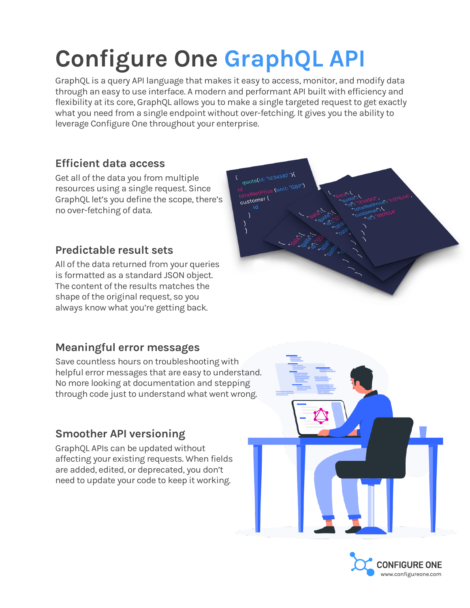# **Configure One GraphQL API**

GraphQL is a query API language that makes it easy to access, monitor, and modify data through an easy to use interface. A modern and performant API built with efficiency and flexibility at its core, GraphQL allows you to make a single targeted request to get exactly what you need from a single endpoint without over-fetching. It gives you the ability to leverage Configure One throughout your enterprise.

#### **Efficient data access**

Get all of the data you from multiple resources using a single request. Since GraphQL let's you define the scope, there's no over-fetching of data.

#### **Predictable result sets**

All of the data returned from your queries is formatted as a standard JSON object. The content of the results matches the shape of the original request, so you always know what you're getting back.

#### **Meaningful error messages**

Save countless hours on troubleshooting with helpful error messages that are easy to understand. No more looking at documentation and stepping through code just to understand what went wrong.

#### **Smoother API versioning**

GraphQL APIs can be updated without affecting your existing requests. When fields are added, edited, or deprecated, you don't need to update your code to keep it working.





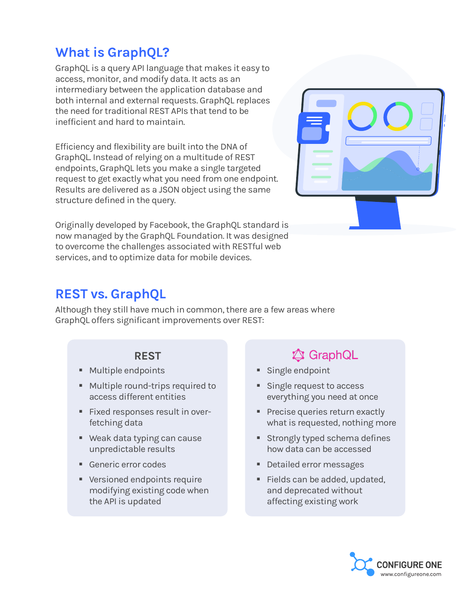## **What is GraphQL?**

GraphQL is a query API language that makes it easy to access, monitor, and modify data. It acts as an intermediary between the application database and both internal and external requests. GraphQL replaces the need for traditional REST APIs that tend to be inefficient and hard to maintain.

Efficiency and flexibility are built into the DNA of GraphQL. Instead of relying on a multitude of REST endpoints, GraphQL lets you make a single targeted request to get exactly what you need from one endpoint. Results are delivered as a JSON object using the same structure defined in the query.

Originally developed by Facebook, the GraphQL standard is now managed by the GraphQL Foundation. It was designed to overcome the challenges associated with RESTful web services, and to optimize data for mobile devices.



## **REST vs. GraphQL**

Although they still have much in common, there are a few areas where GraphQL offers significant improvements over REST:

#### **REST**

- Multiple endpoints
- Multiple round-trips required to access different entities
- Fixed responses result in overfetching data
- Weak data typing can cause unpredictable results
- Generic error codes
- Versioned endpoints require modifying existing code when the API is updated

## **A** GraphQL

- **E** Single endpoint
- Single request to access everything you need at once
- **Precise queries return exactly** what is requested, nothing more
- **EXECUTE:** Strongly typed schema defines how data can be accessed
- Detailed error messages
- Fields can be added, updated, and deprecated without affecting existing work